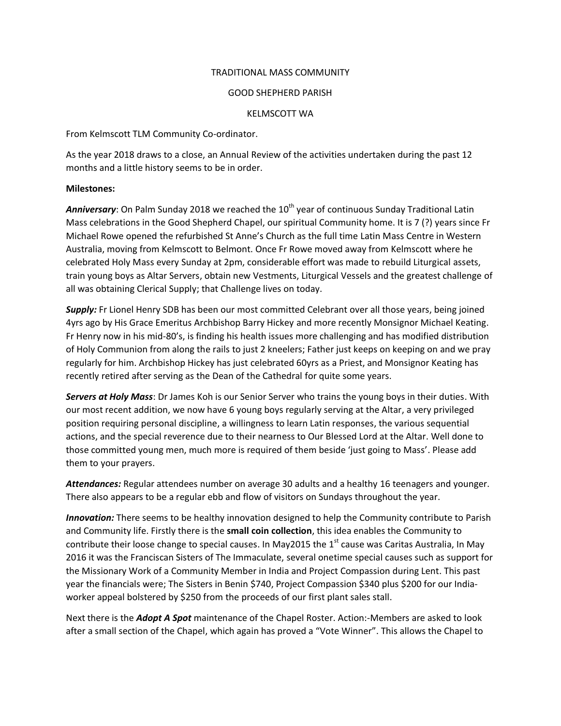## TRADITIONAL MASS COMMUNITY

## GOOD SHEPHERD PARISH

## KELMSCOTT WA

From Kelmscott TLM Community Co-ordinator.

As the year 2018 draws to a close, an Annual Review of the activities undertaken during the past 12 months and a little history seems to be in order.

## **Milestones:**

Anniversary: On Palm Sunday 2018 we reached the 10<sup>th</sup> year of continuous Sunday Traditional Latin Mass celebrations in the Good Shepherd Chapel, our spiritual Community home. It is 7 (?) years since Fr Michael Rowe opened the refurbished St Anne's Church as the full time Latin Mass Centre in Western Australia, moving from Kelmscott to Belmont. Once Fr Rowe moved away from Kelmscott where he celebrated Holy Mass every Sunday at 2pm, considerable effort was made to rebuild Liturgical assets, train young boys as Altar Servers, obtain new Vestments, Liturgical Vessels and the greatest challenge of all was obtaining Clerical Supply; that Challenge lives on today.

*Supply:* Fr Lionel Henry SDB has been our most committed Celebrant over all those years, being joined 4yrs ago by His Grace Emeritus Archbishop Barry Hickey and more recently Monsignor Michael Keating. Fr Henry now in his mid-80's, is finding his health issues more challenging and has modified distribution of Holy Communion from along the rails to just 2 kneelers; Father just keeps on keeping on and we pray regularly for him. Archbishop Hickey has just celebrated 60yrs as a Priest, and Monsignor Keating has recently retired after serving as the Dean of the Cathedral for quite some years.

*Servers at Holy Mass*: Dr James Koh is our Senior Server who trains the young boys in their duties. With our most recent addition, we now have 6 young boys regularly serving at the Altar, a very privileged position requiring personal discipline, a willingness to learn Latin responses, the various sequential actions, and the special reverence due to their nearness to Our Blessed Lord at the Altar. Well done to those committed young men, much more is required of them beside 'just going to Mass'. Please add them to your prayers.

*Attendances:* Regular attendees number on average 30 adults and a healthy 16 teenagers and younger. There also appears to be a regular ebb and flow of visitors on Sundays throughout the year.

*Innovation:* There seems to be healthy innovation designed to help the Community contribute to Parish and Community life. Firstly there is the **small coin collection**, this idea enables the Community to contribute their loose change to special causes. In May2015 the 1<sup>st</sup> cause was Caritas Australia, In May 2016 it was the Franciscan Sisters of The Immaculate, several onetime special causes such as support for the Missionary Work of a Community Member in India and Project Compassion during Lent. This past year the financials were; The Sisters in Benin \$740, Project Compassion \$340 plus \$200 for our Indiaworker appeal bolstered by \$250 from the proceeds of our first plant sales stall.

Next there is the *Adopt A Spot* maintenance of the Chapel Roster. Action:-Members are asked to look after a small section of the Chapel, which again has proved a "Vote Winner". This allows the Chapel to